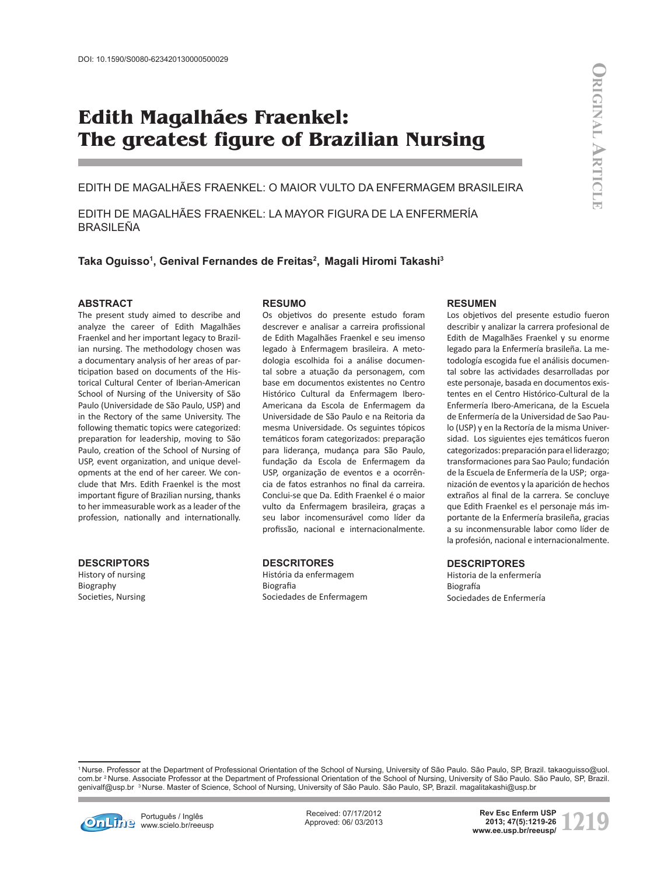# **Edith Magalhães Fraenkel: The greatest figure of Brazilian Nursing**

EDITH DE MAGALHÃES FRAENKEL: O MAIOR VULTO DA ENFERMAGEM BRASILEIRA

EDITH DE MAGALHÃES FRAENKEL: LA MAYOR FIGURA DE LA ENFERMERÍA BRASILEÑA

Taka Oguisso<sup>1</sup>, Genival Fernandes de Freitas<sup>2</sup>, Magali Hiromi Takashi<sup>3</sup>

### **ABSTRACT**

The present study aimed to describe and analyze the career of Edith Magalhães Fraenkel and her important legacy to Brazilian nursing. The methodology chosen was a documentary analysis of her areas of participation based on documents of the Historical Cultural Center of Iberian-American School of Nursing of the University of São Paulo (Universidade de São Paulo, USP) and in the Rectory of the same University. The following thematic topics were categorized: preparation for leadership, moving to São Paulo, creation of the School of Nursing of USP, event organization, and unique developments at the end of her career. We conclude that Mrs. Edith Fraenkel is the most important figure of Brazilian nursing, thanks to her immeasurable work as a leader of the profession, nationally and internationally.

#### **RESUMO**

Os objetivos do presente estudo foram descrever e analisar a carreira profissional de Edith Magalhães Fraenkel e seu imenso legado à Enfermagem brasileira. A metodologia escolhida foi a análise documental sobre a atuação da personagem, com base em documentos existentes no Centro Histórico Cultural da Enfermagem Ibero-Americana da Escola de Enfermagem da Universidade de São Paulo e na Reitoria da mesma Universidade. Os seguintes tópicos temáticos foram categorizados: preparação para liderança, mudança para São Paulo, fundação da Escola de Enfermagem da USP, organização de eventos e a ocorrência de fatos estranhos no final da carreira. Conclui-se que Da. Edith Fraenkel é o maior vulto da Enfermagem brasileira, graças a seu labor incomensurável como líder da profissão, nacional e internacionalmente.

#### **DESCRIPTORS**

History of nursing Biography Societies, Nursing

## **DESCRITORES**

História da enfermagem Biografia Sociedades de Enfermagem

#### **RESUMEN**

Los objetivos del presente estudio fueron describir y analizar la carrera profesional de Edith de Magalhães Fraenkel y su enorme legado para la Enfermería brasileña. La metodología escogida fue el análisis documental sobre las actividades desarrolladas por este personaje, basada en documentos existentes en el Centro Histórico-Cultural de la Enfermería Ibero-Americana, de la Escuela de Enfermería de la Universidad de Sao Paulo (USP) y en la Rectoría de la misma Universidad. Los siguientes ejes temáticos fueron categorizados: preparación para el liderazgo; transformaciones para Sao Paulo; fundación de la Escuela de Enfermería de la USP; organización de eventos y la aparición de hechos extraños al final de la carrera. Se concluye que Edith Fraenkel es el personaje más importante de la Enfermería brasileña, gracias a su inconmensurable labor como líder de la profesión, nacional e internacionalmente.

#### **DESCRIPTORES**

Historia de la enfermería Biografía Sociedades de Enfermería

1 Nurse. Professor at the Department of Professional Orientation of the School of Nursing, University of São Paulo. São Paulo, SP, Brazil. takaoguisso@uol. com.br <sup>2</sup> Nurse. Associate Professor at the Department of Professional Orientation of the School of Nursing, University of São Paulo. São Paulo, SP, Brazil. genivalf@usp.br 3 Nurse. Master of Science, School of Nursing, University of São Paulo. São Paulo, SP, Brazil. magalitakashi@usp.br



www.scielo.br/reeusp

Received: 07/17/2012 Approved: 06/ 03/2013 Português / Inglês

**1219 Português / Inglês** Received: 07/17/2012<br> **1219 Approved: 06/ 03/2013**<br> **1219 WWW.ee.usp.br/reeusp/ 1219 Rev Esc Enferm USP 2013; 47(5):1219-26 www.ee.usp.br/reeusp/**

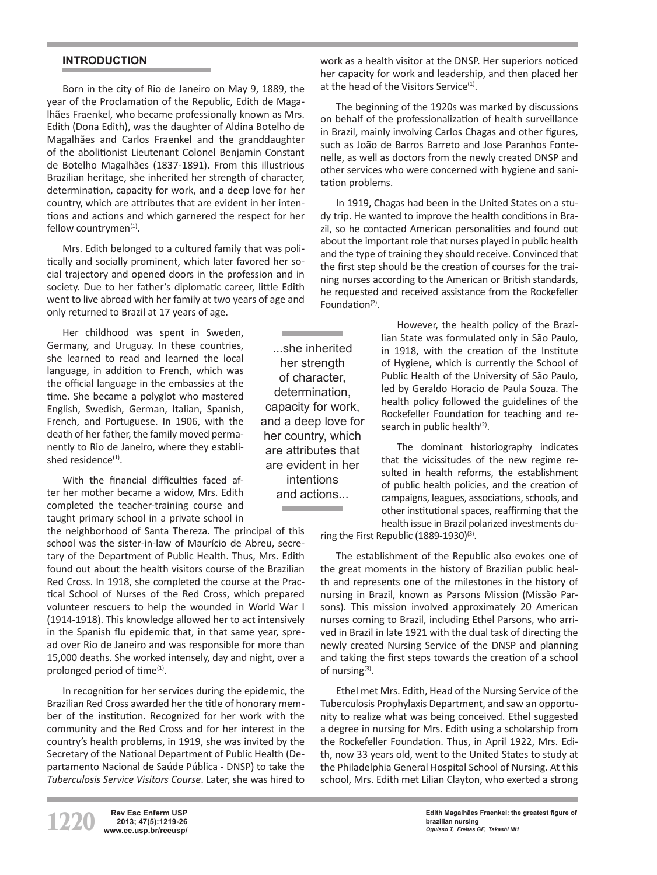## **INTRODUCTION**

Born in the city of Rio de Janeiro on May 9, 1889, the year of the Proclamation of the Republic, Edith de Magalhães Fraenkel, who became professionally known as Mrs. Edith (Dona Edith), was the daughter of Aldina Botelho de Magalhães and Carlos Fraenkel and the granddaughter of the abolitionist Lieutenant Colonel Benjamin Constant de Botelho Magalhães (1837-1891). From this illustrious Brazilian heritage, she inherited her strength of character, determination, capacity for work, and a deep love for her country, which are attributes that are evident in her intentions and actions and which garnered the respect for her fellow countrymen<sup>(1)</sup>.

Mrs. Edith belonged to a cultured family that was politically and socially prominent, which later favored her social trajectory and opened doors in the profession and in society. Due to her father's diplomatic career, little Edith went to live abroad with her family at two years of age and only returned to Brazil at 17 years of age.

Her childhood was spent in Sweden, Germany, and Uruguay. In these countries, she learned to read and learned the local language, in addition to French, which was the official language in the embassies at the time. She became a polyglot who mastered English, Swedish, German, Italian, Spanish, French, and Portuguese. In 1906, with the death of her father, the family moved permanently to Rio de Janeiro, where they established residence<sup>(1)</sup>.

With the financial difficulties faced after her mother became a widow, Mrs. Edith completed the teacher-training course and taught primary school in a private school in

the neighborhood of Santa Thereza. The principal of this school was the sister-in-law of Maurício de Abreu, secretary of the Department of Public Health. Thus, Mrs. Edith found out about the health visitors course of the Brazilian Red Cross. In 1918, she completed the course at the Practical School of Nurses of the Red Cross, which prepared volunteer rescuers to help the wounded in World War I (1914-1918). This knowledge allowed her to act intensively in the Spanish flu epidemic that, in that same year, spread over Rio de Janeiro and was responsible for more than 15,000 deaths. She worked intensely, day and night, over a prolonged period of time<sup>(1)</sup>.

In recognition for her services during the epidemic, the Brazilian Red Cross awarded her the title of honorary member of the institution. Recognized for her work with the community and the Red Cross and for her interest in the country's health problems, in 1919, she was invited by the Secretary of the National Department of Public Health (Departamento Nacional de Saúde Pública - DNSP) to take the *Tuberculosis Service Visitors Course*. Later, she was hired to

work as a health visitor at the DNSP. Her superiors noticed her capacity for work and leadership, and then placed her at the head of the Visitors Service<sup>(1)</sup>.

The beginning of the 1920s was marked by discussions on behalf of the professionalization of health surveillance in Brazil, mainly involving Carlos Chagas and other figures, such as João de Barros Barreto and Jose Paranhos Fontenelle, as well as doctors from the newly created DNSP and other services who were concerned with hygiene and sanitation problems.

In 1919, Chagas had been in the United States on a study trip. He wanted to improve the health conditions in Brazil, so he contacted American personalities and found out about the important role that nurses played in public health and the type of training they should receive. Convinced that the first step should be the creation of courses for the training nurses according to the American or British standards, he requested and received assistance from the Rockefeller Foundation $(2)$ .

> However, the health policy of the Brazilian State was formulated only in São Paulo, in 1918, with the creation of the Institute of Hygiene, which is currently the School of Public Health of the University of São Paulo, led by Geraldo Horacio de Paula Souza. The health policy followed the guidelines of the Rockefeller Foundation for teaching and research in public health $(2)$ .

> The dominant historiography indicates that the vicissitudes of the new regime resulted in health reforms, the establishment of public health policies, and the creation of campaigns, leagues, associations, schools, and other institutional spaces, reaffirming that the health issue in Brazil polarized investments du-

ring the First Republic  $(1889-1930)^{(3)}$ .

The establishment of the Republic also evokes one of the great moments in the history of Brazilian public health and represents one of the milestones in the history of nursing in Brazil, known as Parsons Mission (Missão Parsons). This mission involved approximately 20 American nurses coming to Brazil, including Ethel Parsons, who arrived in Brazil in late 1921 with the dual task of directing the newly created Nursing Service of the DNSP and planning and taking the first steps towards the creation of a school of nursing(3).

Ethel met Mrs. Edith, Head of the Nursing Service of the Tuberculosis Prophylaxis Department, and saw an opportunity to realize what was being conceived. Ethel suggested a degree in nursing for Mrs. Edith using a scholarship from the Rockefeller Foundation. Thus, in April 1922, Mrs. Edith, now 33 years old, went to the United States to study at the Philadelphia General Hospital School of Nursing. At this school, Mrs. Edith met Lilian Clayton, who exerted a strong

her strength of character, determination, capacity for work, and a deep love for her country, which are attributes that are evident in her intentions and actions...

...she inherited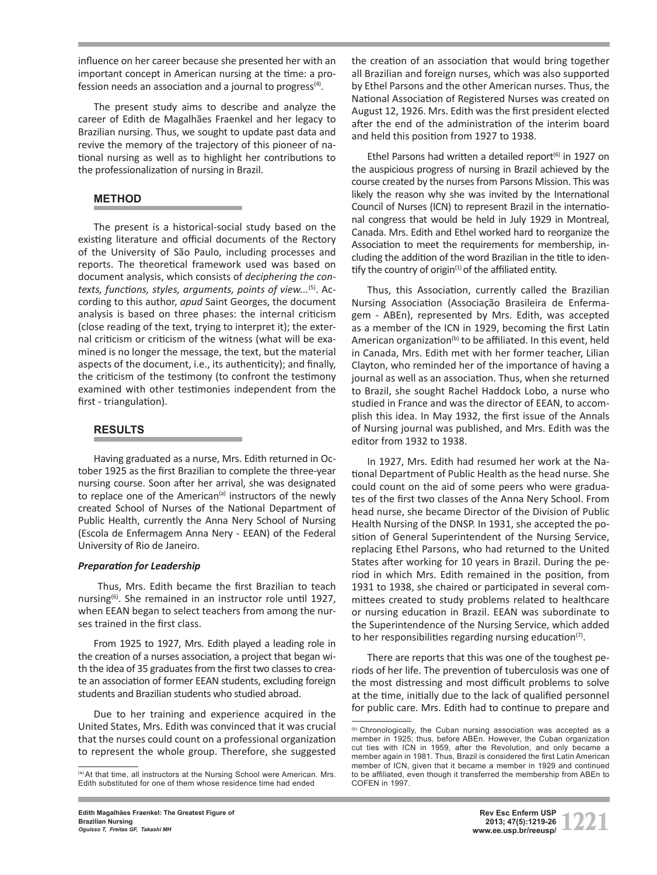influence on her career because she presented her with an important concept in American nursing at the time: a profession needs an association and a journal to progress<sup>(4)</sup>.

The present study aims to describe and analyze the career of Edith de Magalhães Fraenkel and her legacy to Brazilian nursing. Thus, we sought to update past data and revive the memory of the trajectory of this pioneer of national nursing as well as to highlight her contributions to the professionalization of nursing in Brazil.

# **METHOD**

The present is a historical-social study based on the existing literature and official documents of the Rectory of the University of São Paulo, including processes and reports. The theoretical framework used was based on document analysis, which consists of *deciphering the contexts, functions, styles, arguments, points of view...*<sup>(5)</sup>. According to this author, *apud* Saint Georges, the document analysis is based on three phases: the internal criticism (close reading of the text, trying to interpret it); the external criticism or criticism of the witness (what will be examined is no longer the message, the text, but the material aspects of the document, i.e., its authenticity); and finally, the criticism of the testimony (to confront the testimony examined with other testimonies independent from the first - triangulation).

# **RESULTS**

Having graduated as a nurse, Mrs. Edith returned in October 1925 as the first Brazilian to complete the three-year nursing course. Soon after her arrival, she was designated to replace one of the American<sup>(a)</sup> instructors of the newly created School of Nurses of the National Department of Public Health, currently the Anna Nery School of Nursing (Escola de Enfermagem Anna Nery - EEAN) of the Federal University of Rio de Janeiro.

## *Preparation for Leadership*

 Thus, Mrs. Edith became the first Brazilian to teach nursing<sup>(6)</sup>. She remained in an instructor role until 1927, when EEAN began to select teachers from among the nurses trained in the first class.

From 1925 to 1927, Mrs. Edith played a leading role in the creation of a nurses association, a project that began with the idea of 35 graduates from the first two classes to create an association of former EEAN students, excluding foreign students and Brazilian students who studied abroad.

Due to her training and experience acquired in the United States, Mrs. Edith was convinced that it was crucial that the nurses could count on a professional organization to represent the whole group. Therefore, she suggested the creation of an association that would bring together all Brazilian and foreign nurses, which was also supported by Ethel Parsons and the other American nurses. Thus, the National Association of Registered Nurses was created on August 12, 1926. Mrs. Edith was the first president elected after the end of the administration of the interim board and held this position from 1927 to 1938.

Ethel Parsons had written a detailed report $(6)$  in 1927 on the auspicious progress of nursing in Brazil achieved by the course created by the nurses from Parsons Mission. This was likely the reason why she was invited by the International Council of Nurses (ICN) to represent Brazil in the international congress that would be held in July 1929 in Montreal, Canada. Mrs. Edith and Ethel worked hard to reorganize the Association to meet the requirements for membership, including the addition of the word Brazilian in the title to identify the country of origin $(1)$  of the affiliated entity.

Thus, this Association, currently called the Brazilian Nursing Association (Associação Brasileira de Enfermagem - ABEn), represented by Mrs. Edith, was accepted as a member of the ICN in 1929, becoming the first Latin American organization<sup>(b)</sup> to be affiliated. In this event, held in Canada, Mrs. Edith met with her former teacher, Lilian Clayton, who reminded her of the importance of having a journal as well as an association. Thus, when she returned to Brazil, she sought Rachel Haddock Lobo, a nurse who studied in France and was the director of EEAN, to accomplish this idea. In May 1932, the first issue of the Annals of Nursing journal was published, and Mrs. Edith was the editor from 1932 to 1938.

In 1927, Mrs. Edith had resumed her work at the National Department of Public Health as the head nurse. She could count on the aid of some peers who were graduates of the first two classes of the Anna Nery School. From head nurse, she became Director of the Division of Public Health Nursing of the DNSP. In 1931, she accepted the position of General Superintendent of the Nursing Service, replacing Ethel Parsons, who had returned to the United States after working for 10 years in Brazil. During the period in which Mrs. Edith remained in the position, from 1931 to 1938, she chaired or participated in several committees created to study problems related to healthcare or nursing education in Brazil. EEAN was subordinate to the Superintendence of the Nursing Service, which added to her responsibilities regarding nursing education $(7)$ .

There are reports that this was one of the toughest periods of her life. The prevention of tuberculosis was one of the most distressing and most difficult problems to solve at the time, initially due to the lack of qualified personnel for public care. Mrs. Edith had to continue to prepare and



<sup>(</sup>a) At that time, all instructors at the Nursing School were American. Mrs. Edith substituted for one of them whose residence time had ended

<sup>(</sup>b) Chronologically, the Cuban nursing association was accepted as a member in 1925; thus, before ABEn. However, the Cuban organization cut ties with ICN in 1959, after the Revolution, and only became a member again in 1981. Thus, Brazil is considered the first Latin American member of ICN, given that it became a member in 1929 and continued to be affiliated, even though it transferred the membership from ABEn to COFEN in 1997.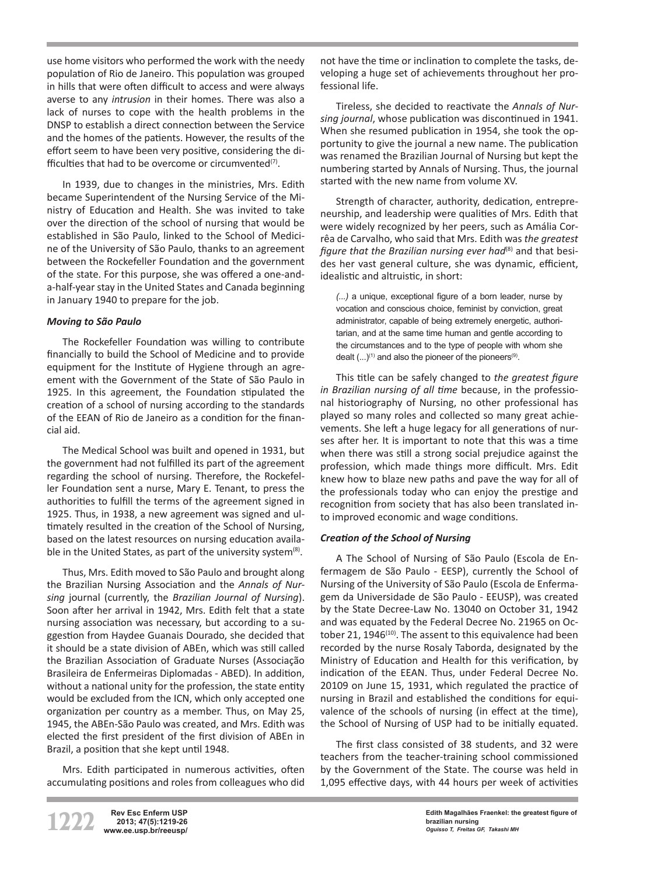use home visitors who performed the work with the needy population of Rio de Janeiro. This population was grouped in hills that were often difficult to access and were always averse to any *intrusion* in their homes. There was also a lack of nurses to cope with the health problems in the DNSP to establish a direct connection between the Service and the homes of the patients. However, the results of the effort seem to have been very positive, considering the difficulties that had to be overcome or circumvented $(7)$ .

In 1939, due to changes in the ministries, Mrs. Edith became Superintendent of the Nursing Service of the Ministry of Education and Health. She was invited to take over the direction of the school of nursing that would be established in São Paulo, linked to the School of Medicine of the University of São Paulo, thanks to an agreement between the Rockefeller Foundation and the government of the state. For this purpose, she was offered a one-anda-half-year stay in the United States and Canada beginning in January 1940 to prepare for the job.

## *Moving to São Paulo*

The Rockefeller Foundation was willing to contribute financially to build the School of Medicine and to provide equipment for the Institute of Hygiene through an agreement with the Government of the State of São Paulo in 1925. In this agreement, the Foundation stipulated the creation of a school of nursing according to the standards of the EEAN of Rio de Janeiro as a condition for the financial aid.

The Medical School was built and opened in 1931, but the government had not fulfilled its part of the agreement regarding the school of nursing. Therefore, the Rockefeller Foundation sent a nurse, Mary E. Tenant, to press the authorities to fulfill the terms of the agreement signed in 1925. Thus, in 1938, a new agreement was signed and ultimately resulted in the creation of the School of Nursing, based on the latest resources on nursing education available in the United States, as part of the university system<sup>(8)</sup>.

Thus, Mrs. Edith moved to São Paulo and brought along the Brazilian Nursing Association and the *Annals of Nursing* journal (currently, the *Brazilian Journal of Nursing*). Soon after her arrival in 1942, Mrs. Edith felt that a state nursing association was necessary, but according to a suggestion from Haydee Guanais Dourado, she decided that it should be a state division of ABEn, which was still called the Brazilian Association of Graduate Nurses (Associação Brasileira de Enfermeiras Diplomadas - ABED). In addition, without a national unity for the profession, the state entity would be excluded from the ICN, which only accepted one organization per country as a member. Thus, on May 25, 1945, the ABEn-São Paulo was created, and Mrs. Edith was elected the first president of the first division of ABEn in Brazil, a position that she kept until 1948.

Mrs. Edith participated in numerous activities, often accumulating positions and roles from colleagues who did

not have the time or inclination to complete the tasks, developing a huge set of achievements throughout her professional life.

Tireless, she decided to reactivate the *Annals of Nursing journal*, whose publication was discontinued in 1941. When she resumed publication in 1954, she took the opportunity to give the journal a new name. The publication was renamed the Brazilian Journal of Nursing but kept the numbering started by Annals of Nursing. Thus, the journal started with the new name from volume XV.

Strength of character, authority, dedication, entrepreneurship, and leadership were qualities of Mrs. Edith that were widely recognized by her peers, such as Amália Corrêa de Carvalho, who said that Mrs. Edith was *the greatest figure that the Brazilian nursing ever had*<sup>(8)</sup> and that besides her vast general culture, she was dynamic, efficient, idealistic and altruistic, in short:

*(...)* a unique, exceptional figure of a born leader, nurse by vocation and conscious choice, feminist by conviction, great administrator, capable of being extremely energetic, authoritarian, and at the same time human and gentle according to the circumstances and to the type of people with whom she dealt  $(...)^{(1)}$  and also the pioneer of the pioneers<sup>(9)</sup>.

This title can be safely changed to *the greatest figure in Brazilian nursing of all time* because, in the professional historiography of Nursing, no other professional has played so many roles and collected so many great achievements. She left a huge legacy for all generations of nurses after her. It is important to note that this was a time when there was still a strong social prejudice against the profession, which made things more difficult. Mrs. Edit knew how to blaze new paths and pave the way for all of the professionals today who can enjoy the prestige and recognition from society that has also been translated into improved economic and wage conditions.

## *Creation of the School of Nursing*

A The School of Nursing of São Paulo (Escola de Enfermagem de São Paulo - EESP), currently the School of Nursing of the University of São Paulo (Escola de Enfermagem da Universidade de São Paulo - EEUSP), was created by the State Decree-Law No. 13040 on October 31, 1942 and was equated by the Federal Decree No. 21965 on October 21, 1946<sup>(10)</sup>. The assent to this equivalence had been recorded by the nurse Rosaly Taborda, designated by the Ministry of Education and Health for this verification, by indication of the EEAN. Thus, under Federal Decree No. 20109 on June 15, 1931, which regulated the practice of nursing in Brazil and established the conditions for equivalence of the schools of nursing (in effect at the time), the School of Nursing of USP had to be initially equated.

The first class consisted of 38 students, and 32 were teachers from the teacher-training school commissioned by the Government of the State. The course was held in 1,095 effective days, with 44 hours per week of activities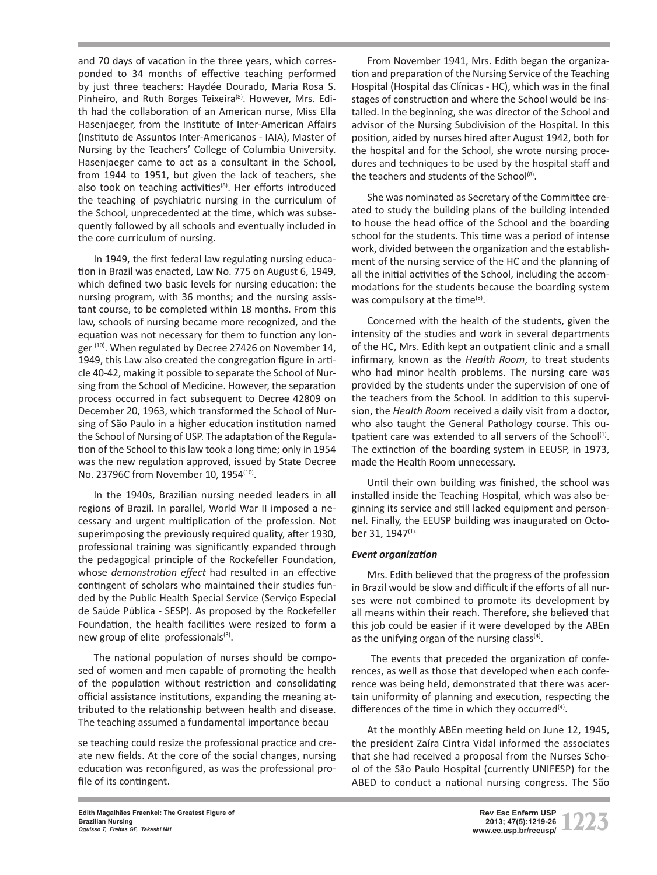and 70 days of vacation in the three years, which corresponded to 34 months of effective teaching performed by just three teachers: Haydée Dourado, Maria Rosa S. Pinheiro, and Ruth Borges Teixeira<sup>(8)</sup>. However, Mrs. Edith had the collaboration of an American nurse, Miss Ella Hasenjaeger, from the Institute of Inter-American Affairs (Instituto de Assuntos Inter-Americanos - IAIA), Master of Nursing by the Teachers' College of Columbia University. Hasenjaeger came to act as a consultant in the School, from 1944 to 1951, but given the lack of teachers, she also took on teaching activities<sup>(8)</sup>. Her efforts introduced the teaching of psychiatric nursing in the curriculum of the School, unprecedented at the time, which was subsequently followed by all schools and eventually included in the core curriculum of nursing.

In 1949, the first federal law regulating nursing education in Brazil was enacted, Law No. 775 on August 6, 1949, which defined two basic levels for nursing education: the nursing program, with 36 months; and the nursing assistant course, to be completed within 18 months. From this law, schools of nursing became more recognized, and the equation was not necessary for them to function any longer (10). When regulated by Decree 27426 on November 14, 1949, this Law also created the congregation figure in article 40-42, making it possible to separate the School of Nursing from the School of Medicine. However, the separation process occurred in fact subsequent to Decree 42809 on December 20, 1963, which transformed the School of Nursing of São Paulo in a higher education institution named the School of Nursing of USP. The adaptation of the Regulation of the School to this law took a long time; only in 1954 was the new regulation approved, issued by State Decree No. 23796C from November 10, 1954(10).

In the 1940s, Brazilian nursing needed leaders in all regions of Brazil. In parallel, World War II imposed a necessary and urgent multiplication of the profession. Not superimposing the previously required quality, after 1930, professional training was significantly expanded through the pedagogical principle of the Rockefeller Foundation, whose *demonstration effect* had resulted in an effective contingent of scholars who maintained their studies funded by the Public Health Special Service (Serviço Especial de Saúde Pública - SESP). As proposed by the Rockefeller Foundation, the health facilities were resized to form a new group of elite professionals<sup>(3)</sup>.

The national population of nurses should be composed of women and men capable of promoting the health of the population without restriction and consolidating official assistance institutions, expanding the meaning attributed to the relationship between health and disease. The teaching assumed a fundamental importance becau

se teaching could resize the professional practice and create new fields. At the core of the social changes, nursing education was reconfigured, as was the professional profile of its contingent.

From November 1941, Mrs. Edith began the organization and preparation of the Nursing Service of the Teaching Hospital (Hospital das Clínicas - HC), which was in the final stages of construction and where the School would be installed. In the beginning, she was director of the School and advisor of the Nursing Subdivision of the Hospital. In this position, aided by nurses hired after August 1942, both for the hospital and for the School, she wrote nursing procedures and techniques to be used by the hospital staff and the teachers and students of the School<sup>(8)</sup>.

She was nominated as Secretary of the Committee created to study the building plans of the building intended to house the head office of the School and the boarding school for the students. This time was a period of intense work, divided between the organization and the establishment of the nursing service of the HC and the planning of all the initial activities of the School, including the accommodations for the students because the boarding system was compulsory at the time<sup>(8)</sup>.

Concerned with the health of the students, given the intensity of the studies and work in several departments of the HC, Mrs. Edith kept an outpatient clinic and a small infirmary, known as the *Health Room*, to treat students who had minor health problems. The nursing care was provided by the students under the supervision of one of the teachers from the School. In addition to this supervision, the *Health Room* received a daily visit from a doctor, who also taught the General Pathology course. This outpatient care was extended to all servers of the School $(1)$ . The extinction of the boarding system in EEUSP, in 1973, made the Health Room unnecessary.

Until their own building was finished, the school was installed inside the Teaching Hospital, which was also beginning its service and still lacked equipment and personnel. Finally, the EEUSP building was inaugurated on October 31, 1947<sup>(1).</sup>

## *Event organization*

Mrs. Edith believed that the progress of the profession in Brazil would be slow and difficult if the efforts of all nurses were not combined to promote its development by all means within their reach. Therefore, she believed that this job could be easier if it were developed by the ABEn as the unifying organ of the nursing class $(4)$ .

 The events that preceded the organization of conferences, as well as those that developed when each conference was being held, demonstrated that there was acertain uniformity of planning and execution, respecting the differences of the time in which they occurred<sup>(4)</sup>.

At the monthly ABEn meeting held on June 12, 1945, the president Zaíra Cintra Vidal informed the associates that she had received a proposal from the Nurses School of the São Paulo Hospital (currently UNIFESP) for the ABED to conduct a national nursing congress. The São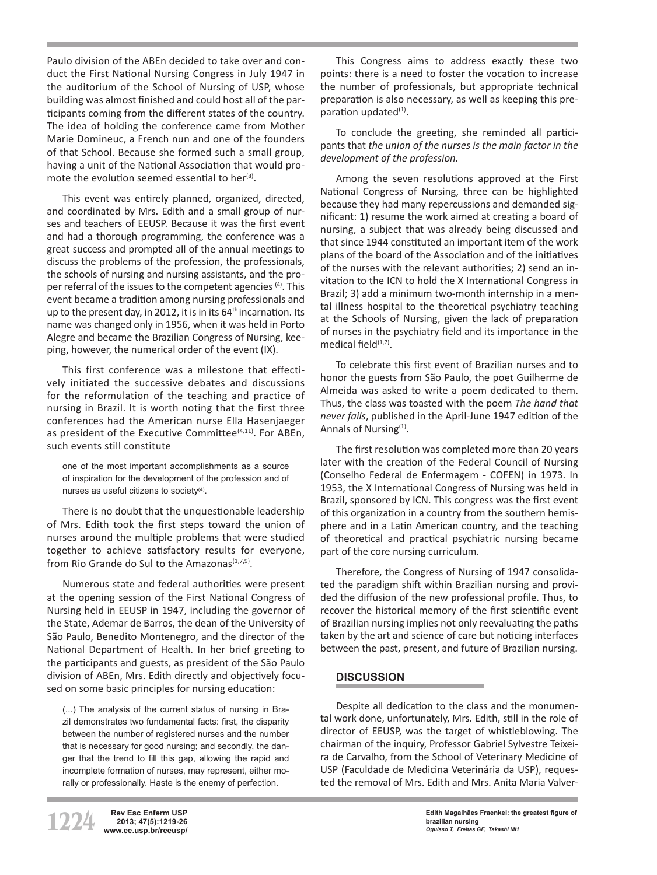Paulo division of the ABEn decided to take over and conduct the First National Nursing Congress in July 1947 in the auditorium of the School of Nursing of USP, whose building was almost finished and could host all of the participants coming from the different states of the country. The idea of holding the conference came from Mother Marie Domineuc, a French nun and one of the founders of that School. Because she formed such a small group, having a unit of the National Association that would promote the evolution seemed essential to her $(8)$ .

This event was entirely planned, organized, directed, and coordinated by Mrs. Edith and a small group of nurses and teachers of EEUSP. Because it was the first event and had a thorough programming, the conference was a great success and prompted all of the annual meetings to discuss the problems of the profession, the professionals, the schools of nursing and nursing assistants, and the proper referral of the issues to the competent agencies (4). This event became a tradition among nursing professionals and up to the present day, in 2012, it is in its 64<sup>th</sup> incarnation. Its name was changed only in 1956, when it was held in Porto Alegre and became the Brazilian Congress of Nursing, keeping, however, the numerical order of the event (IX).

This first conference was a milestone that effectively initiated the successive debates and discussions for the reformulation of the teaching and practice of nursing in Brazil. It is worth noting that the first three conferences had the American nurse Ella Hasenjaeger as president of the Executive Committee<sup>(4,11)</sup>. For ABEn, such events still constitute

one of the most important accomplishments as a source of inspiration for the development of the profession and of nurses as useful citizens to society<sup>(4)</sup>.

There is no doubt that the unquestionable leadership of Mrs. Edith took the first steps toward the union of nurses around the multiple problems that were studied together to achieve satisfactory results for everyone, from Rio Grande do Sul to the Amazonas $(1,7,9)$ .

Numerous state and federal authorities were present at the opening session of the First National Congress of Nursing held in EEUSP in 1947, including the governor of the State, Ademar de Barros, the dean of the University of São Paulo, Benedito Montenegro, and the director of the National Department of Health. In her brief greeting to the participants and guests, as president of the São Paulo division of ABEn, Mrs. Edith directly and objectively focused on some basic principles for nursing education:

(...) The analysis of the current status of nursing in Brazil demonstrates two fundamental facts: first, the disparity between the number of registered nurses and the number that is necessary for good nursing; and secondly, the danger that the trend to fill this gap, allowing the rapid and incomplete formation of nurses, may represent, either morally or professionally. Haste is the enemy of perfection.

This Congress aims to address exactly these two points: there is a need to foster the vocation to increase the number of professionals, but appropriate technical preparation is also necessary, as well as keeping this preparation updated<sup>(1)</sup>.

To conclude the greeting, she reminded all participants that *the union of the nurses is the main factor in the development of the profession.*

Among the seven resolutions approved at the First National Congress of Nursing, three can be highlighted because they had many repercussions and demanded significant: 1) resume the work aimed at creating a board of nursing, a subject that was already being discussed and that since 1944 constituted an important item of the work plans of the board of the Association and of the initiatives of the nurses with the relevant authorities; 2) send an invitation to the ICN to hold the X International Congress in Brazil; 3) add a minimum two-month internship in a mental illness hospital to the theoretical psychiatry teaching at the Schools of Nursing, given the lack of preparation of nurses in the psychiatry field and its importance in the medical field $(1,7)$ .

To celebrate this first event of Brazilian nurses and to honor the guests from São Paulo, the poet Guilherme de Almeida was asked to write a poem dedicated to them. Thus, the class was toasted with the poem *The hand that never fails*, published in the April-June 1947 edition of the Annals of Nursing<sup>(1)</sup>.

The first resolution was completed more than 20 years later with the creation of the Federal Council of Nursing (Conselho Federal de Enfermagem - COFEN) in 1973. In 1953, the X International Congress of Nursing was held in Brazil, sponsored by ICN. This congress was the first event of this organization in a country from the southern hemisphere and in a Latin American country, and the teaching of theoretical and practical psychiatric nursing became part of the core nursing curriculum.

Therefore, the Congress of Nursing of 1947 consolidated the paradigm shift within Brazilian nursing and provided the diffusion of the new professional profile. Thus, to recover the historical memory of the first scientific event of Brazilian nursing implies not only reevaluating the paths taken by the art and science of care but noticing interfaces between the past, present, and future of Brazilian nursing.

## **DISCUSSION**

Despite all dedication to the class and the monumental work done, unfortunately, Mrs. Edith, still in the role of director of EEUSP, was the target of whistleblowing. The chairman of the inquiry, Professor Gabriel Sylvestre Teixeira de Carvalho, from the School of Veterinary Medicine of USP (Faculdade de Medicina Veterinária da USP), requested the removal of Mrs. Edith and Mrs. Anita Maria Valver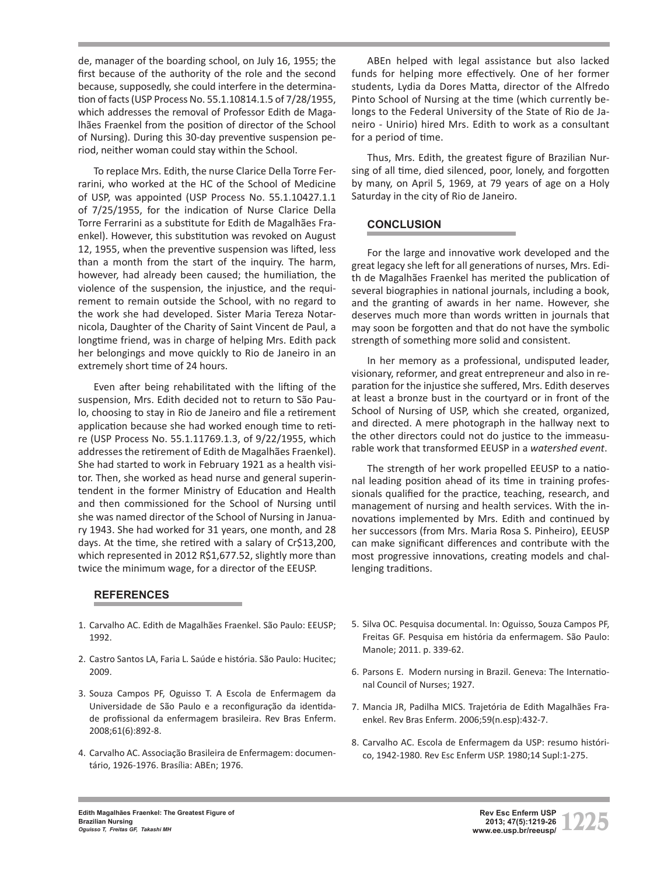de, manager of the boarding school, on July 16, 1955; the first because of the authority of the role and the second because, supposedly, she could interfere in the determination of facts (USP Process No. 55.1.10814.1.5 of 7/28/1955, which addresses the removal of Professor Edith de Magalhães Fraenkel from the position of director of the School of Nursing). During this 30-day preventive suspension period, neither woman could stay within the School.

To replace Mrs. Edith, the nurse Clarice Della Torre Ferrarini, who worked at the HC of the School of Medicine of USP, was appointed (USP Process No. 55.1.10427.1.1 of 7/25/1955, for the indication of Nurse Clarice Della Torre Ferrarini as a substitute for Edith de Magalhães Fraenkel). However, this substitution was revoked on August 12, 1955, when the preventive suspension was lifted, less than a month from the start of the inquiry. The harm, however, had already been caused; the humiliation, the violence of the suspension, the injustice, and the requirement to remain outside the School, with no regard to the work she had developed. Sister Maria Tereza Notarnicola, Daughter of the Charity of Saint Vincent de Paul, a longtime friend, was in charge of helping Mrs. Edith pack her belongings and move quickly to Rio de Janeiro in an extremely short time of 24 hours.

Even after being rehabilitated with the lifting of the suspension, Mrs. Edith decided not to return to São Paulo, choosing to stay in Rio de Janeiro and file a retirement application because she had worked enough time to retire (USP Process No. 55.1.11769.1.3, of 9/22/1955, which addresses the retirement of Edith de Magalhães Fraenkel). She had started to work in February 1921 as a health visitor. Then, she worked as head nurse and general superintendent in the former Ministry of Education and Health and then commissioned for the School of Nursing until she was named director of the School of Nursing in January 1943. She had worked for 31 years, one month, and 28 days. At the time, she retired with a salary of Cr\$13,200, which represented in 2012 R\$1,677.52, slightly more than twice the minimum wage, for a director of the EEUSP.

# **REFERENCES**

- 1. Carvalho AC. Edith de Magalhães Fraenkel. São Paulo: EEUSP; 1992.
- 2. Castro Santos LA, Faria L. Saúde e história. São Paulo: Hucitec; 2009.
- 3. Souza Campos PF, Oguisso T. A Escola de Enfermagem da Universidade de São Paulo e a reconfiguração da identidade profissional da enfermagem brasileira. Rev Bras Enferm. 2008;61(6):892-8.
- 4. Carvalho AC. Associação Brasileira de Enfermagem: documentário, 1926-1976. Brasília: ABEn; 1976.

ABEn helped with legal assistance but also lacked funds for helping more effectively. One of her former students, Lydia da Dores Matta, director of the Alfredo Pinto School of Nursing at the time (which currently belongs to the Federal University of the State of Rio de Janeiro - Unirio) hired Mrs. Edith to work as a consultant for a period of time.

Thus, Mrs. Edith, the greatest figure of Brazilian Nursing of all time, died silenced, poor, lonely, and forgotten by many, on April 5, 1969, at 79 years of age on a Holy Saturday in the city of Rio de Janeiro.

# **CONCLUSION**

For the large and innovative work developed and the great legacy she left for all generations of nurses, Mrs. Edith de Magalhães Fraenkel has merited the publication of several biographies in national journals, including a book, and the granting of awards in her name. However, she deserves much more than words written in journals that may soon be forgotten and that do not have the symbolic strength of something more solid and consistent.

In her memory as a professional, undisputed leader, visionary, reformer, and great entrepreneur and also in reparation for the injustice she suffered, Mrs. Edith deserves at least a bronze bust in the courtyard or in front of the School of Nursing of USP, which she created, organized, and directed. A mere photograph in the hallway next to the other directors could not do justice to the immeasurable work that transformed EEUSP in a *watershed event*.

The strength of her work propelled EEUSP to a national leading position ahead of its time in training professionals qualified for the practice, teaching, research, and management of nursing and health services. With the innovations implemented by Mrs. Edith and continued by her successors (from Mrs. Maria Rosa S. Pinheiro), EEUSP can make significant differences and contribute with the most progressive innovations, creating models and challenging traditions.

- 5. Silva OC. Pesquisa documental. In: Oguisso, Souza Campos PF, Freitas GF. Pesquisa em história da enfermagem. São Paulo: Manole; 2011. p. 339-62.
- 6. Parsons E. Modern nursing in Brazil. Geneva: The International Council of Nurses; 1927.
- 7. Mancia JR, Padilha MICS. Trajetória de Edith Magalhães Fraenkel. Rev Bras Enferm. 2006;59(n.esp):432-7.
- 8. Carvalho AC. Escola de Enfermagem da USP: resumo histórico, 1942-1980. Rev Esc Enferm USP. 1980;14 Supl:1-275.

**1225 Edith Magalhães Fraenkel: The Greatest Figure of Brazilian Nursing** *Oguisso T, Freitas GF, Takashi MH*